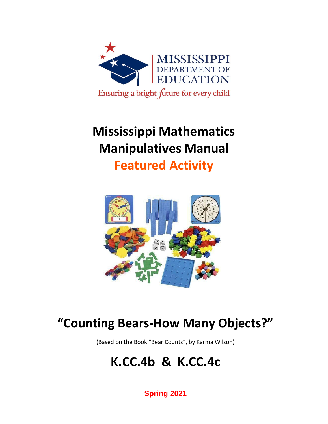

## **Mississippi Mathematics Manipulatives Manual**

**Featured Activity**



## **"Counting Bears-How Many Objects?"**

(Based on the Book "Bear Counts", by Karma Wilson)

## **K.CC.4b & K.CC.4c**

**Spring 2021**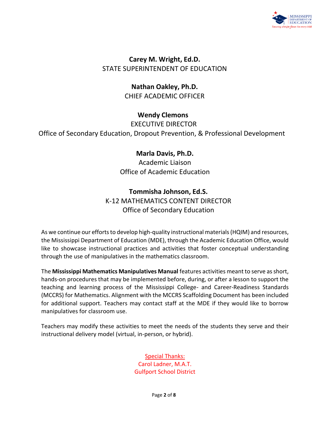

**Carey M. Wright, Ed.D.** STATE SUPERINTENDENT OF EDUCATION

> **Nathan Oakley, Ph.D.** CHIEF ACADEMIC OFFICER

> > **Wendy Clemons**

EXECUTIVE DIRECTOR

Office of Secondary Education, Dropout Prevention, & Professional Development

#### **Marla Davis, Ph.D.**

Academic Liaison Office of Academic Education

#### **Tommisha Johnson, Ed.S.**

K-12 MATHEMATICS CONTENT DIRECTOR Office of Secondary Education

As we continue our efforts to develop high-quality instructional materials (HQIM) and resources, the Mississippi Department of Education (MDE), through the Academic Education Office, would like to showcase instructional practices and activities that foster conceptual understanding through the use of manipulatives in the mathematics classroom.

The **Mississippi Mathematics Manipulatives Manual** features activities meant to serve as short, hands-on procedures that may be implemented before, during, or after a lesson to support the teaching and learning process of the Mississippi College- and Career-Readiness Standards (MCCRS) for Mathematics. Alignment with the MCCRS Scaffolding Document has been included for additional support. Teachers may contact staff at the MDE if they would like to borrow manipulatives for classroom use.

Teachers may modify these activities to meet the needs of the students they serve and their instructional delivery model (virtual, in-person, or hybrid).

> Special Thanks: Carol Ladner, M.A.T. Gulfport School District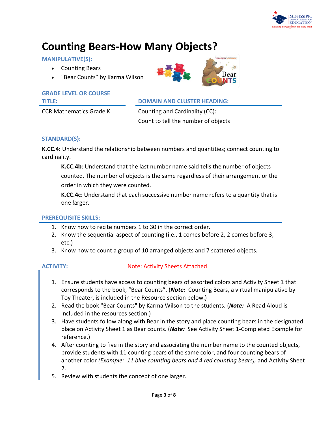

## **Counting Bears-How Many Objects?**

#### **MANIPULATIVE(S):**

- Counting Bears
- "Bear Counts" by Karma Wilson

## **GRADE LEVEL OR COURSE**

#### **TITLE: DOMAIN AND CLUSTER HEADING:**

CCR Mathematics Grade K Counting and Cardinality (CC): Count to tell the number of objects

#### **STANDARD(S):**

**K.CC.4:** Understand the relationship between numbers and quantities; connect counting to cardinality.

**K.CC.4b**: Understand that the last number name said tells the number of objects counted. The number of objects is the same regardless of their arrangement or the order in which they were counted.

**K.CC.4c**: Understand that each successive number name refers to a quantity that is one larger.

#### **PREREQUISITE SKILLS:**

- 1. Know how to recite numbers 1 to 30 in the correct order.
- 2. Know the sequential aspect of counting (i.e., 1 comes before 2, 2 comes before 3, etc.)
- 3. Know how to count a group of 10 arranged objects and 7 scattered objects.

#### **ACTIVITY:** Note: Activity Sheets Attached

- 1. Ensure students have access to counting bears of assorted colors and Activity Sheet 1 that corresponds to the book, "Bear Counts". (*Note:* Counting Bears, a virtual manipulative by Toy Theater, is included in the Resource section below.)
- 2. Read the book "Bear Counts" by Karma Wilson to the students. (*Note:* A Read Aloud is included in the resources section.)
- 3. Have students follow along with Bear in the story and place counting bears in the designated place on Activity Sheet 1 as Bear counts. (*Note:* See Activity Sheet 1-Completed Example for reference.)
- 4. After counting to five in the story and associating the number name to the counted objects, provide students with 11 counting bears of the same color, and four counting bears of another color *(Example: 11 blue counting bears and 4 red counting bears),* and Activity Sheet 2.
- 5. Review with students the concept of one larger.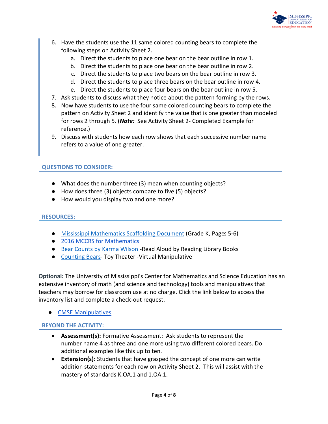

- 6. Have the students use the 11 same colored counting bears to complete the following steps on Activity Sheet 2.
	- a. Direct the students to place one bear on the bear outline in row 1.
	- b. Direct the students to place one bear on the bear outline in row 2.
	- c. Direct the students to place two bears on the bear outline in row 3.
	- d. Direct the students to place three bears on the bear outline in row 4.
	- e. Direct the students to place four bears on the bear outline in row 5.
- 7. Ask students to discuss what they notice about the pattern forming by the rows.
- 8. Now have students to use the four same colored counting bears to complete the pattern on Activity Sheet 2 and identify the value that is one greater than modeled for rows 2 through 5. (*Note:* See Activity Sheet 2- Completed Example for reference.)
- 9. Discuss with students how each row shows that each successive number name refers to a value of one greater.

#### **QUESTIONS TO CONSIDER:**

- What does the number three (3) mean when counting objects?
- How does three (3) objects compare to five (5) objects?
- How would you display two and one more?

#### **RESOURCES:**

- [Mississippi Mathematics Scaffolding Document](https://www.mdek12.org/sites/default/files/Offices/Secondary%20Ed/ELA/ccr/Math/00.K-Math-Scaffolding-Doc.pdf) (Grade K, Pages 5-6)
- [2016 MCCRS for Mathematics](https://districtaccess.mde.k12.ms.us/curriculumandInstruction/Mathematics%20Resources/MS%20CCSSM%20Framework%20Documents/2016-MS-CCRS-Math.pdf)
- [Bear Counts by Karma Wilson](https://www.youtube.com/watch?v=YWJg-Xtv2w8) -Read Aloud by Reading Library Books
- [Counting Bears-](https://toytheater.com/bear-counters/) Toy Theater Virtual Manipulative

**Optional:** The University of Mississippi's Center for Mathematics and Science Education has an extensive inventory of math (and science and technology) tools and manipulatives that teachers may borrow for classroom use at no charge. Click the link below to access the inventory list and complete a check-out request.

● [CMSE Manipulatives](https://sites.google.com/go.olemiss.edu/cmseresources/home)

#### **BEYOND THE ACTIVITY:**

- **Assessment(s):** Formative Assessment: Ask students to represent the number name 4 as three and one more using two different colored bears. Do additional examples like this up to ten.
- **Extension(s):** Students that have grasped the concept of one more can write addition statements for each row on Activity Sheet 2. This will assist with the mastery of standards K.OA.1 and 1.OA.1.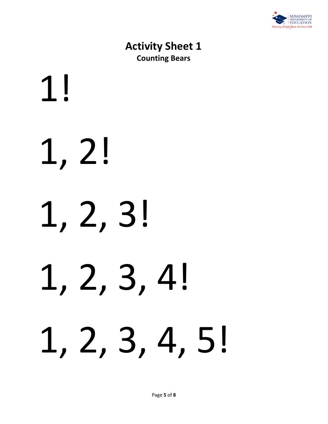

## **Activity Sheet 1 Counting Bears**

# 1! 1, 2! 1, 2, 3! 1, 2, 3, 4! 1, 2, 3, 4, 5!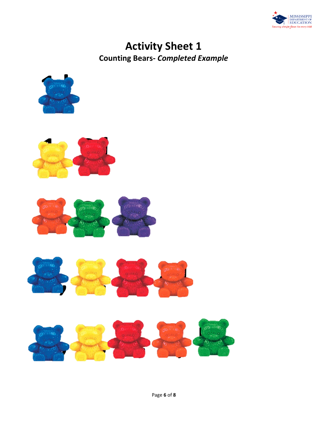

## **Activity Sheet 1 Counting Bears-** *Completed Example*









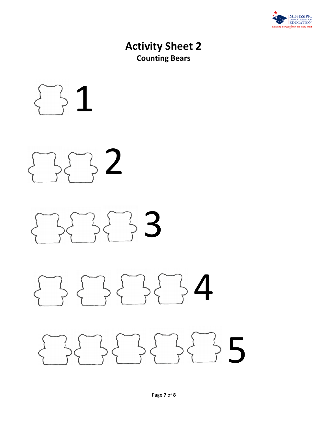

## **Activity Sheet 2 Counting Bears**



# 2 ζ

## $33$ Į

#### 4  $\frac{1}{r}$  $\mathfrak l$ Į  $\overline{a}$

#### $55$  $\sqrt{2}$  $\left\{ \right\}$  $\sqrt{2}$  $\sqrt{2}$